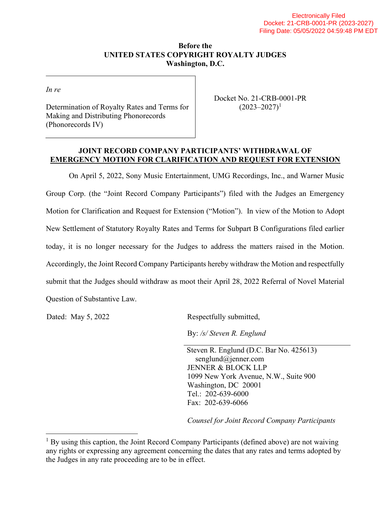## Before the UNITED STATES COPYRIGHT ROYALTY JUDGES Washington, D.C.

In re

Determination of Royalty Rates and Terms for Making and Distributing Phonorecords (Phonorecords IV)

Docket No. 21-CRB-0001-PR  $(2023 - 2027)^1$ 

## JOINT RECORD COMPANY PARTICIPANTS' WITHDRAWAL OF EMERGENCY MOTION FOR CLARIFICATION AND REQUEST FOR EXTENSION

On April 5, 2022, Sony Music Entertainment, UMG Recordings, Inc., and Warner Music Group Corp. (the "Joint Record Company Participants") filed with the Judges an Emergency Motion for Clarification and Request for Extension ("Motion"). In view of the Motion to Adopt New Settlement of Statutory Royalty Rates and Terms for Subpart B Configurations filed earlier today, it is no longer necessary for the Judges to address the matters raised in the Motion. Accordingly, the Joint Record Company Participants hereby withdraw the Motion and respectfully submit that the Judges should withdraw as moot their April 28, 2022 Referral of Novel Material Question of Substantive Law.

Dated: May 5, 2022 Respectfully submitted,

By: /s/ Steven R. Englund

 Steven R. Englund (D.C. Bar No. 425613) senglund@jenner.com JENNER & BLOCK LLP 1099 New York Avenue, N.W., Suite 900 Washington, DC 20001 Tel.: 202-639-6000 Fax: 202-639-6066

Counsel for Joint Record Company Participants

 $<sup>1</sup>$  By using this caption, the Joint Record Company Participants (defined above) are not waiving</sup> any rights or expressing any agreement concerning the dates that any rates and terms adopted by the Judges in any rate proceeding are to be in effect.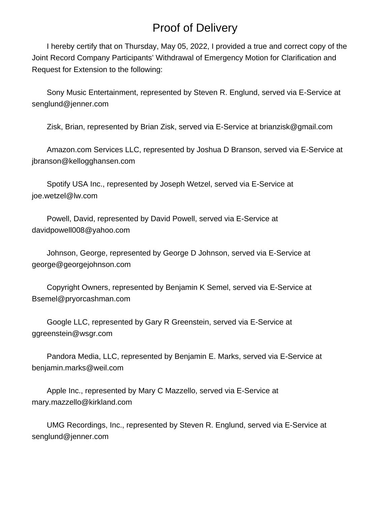## Proof of Delivery

 I hereby certify that on Thursday, May 05, 2022, I provided a true and correct copy of the Joint Record Company Participants' Withdrawal of Emergency Motion for Clarification and Request for Extension to the following:

 Sony Music Entertainment, represented by Steven R. Englund, served via E-Service at senglund@jenner.com

Zisk, Brian, represented by Brian Zisk, served via E-Service at brianzisk@gmail.com

 Amazon.com Services LLC, represented by Joshua D Branson, served via E-Service at jbranson@kellogghansen.com

 Spotify USA Inc., represented by Joseph Wetzel, served via E-Service at joe.wetzel@lw.com

 Powell, David, represented by David Powell, served via E-Service at davidpowell008@yahoo.com

 Johnson, George, represented by George D Johnson, served via E-Service at george@georgejohnson.com

 Copyright Owners, represented by Benjamin K Semel, served via E-Service at Bsemel@pryorcashman.com

 Google LLC, represented by Gary R Greenstein, served via E-Service at ggreenstein@wsgr.com

 Pandora Media, LLC, represented by Benjamin E. Marks, served via E-Service at benjamin.marks@weil.com

 Apple Inc., represented by Mary C Mazzello, served via E-Service at mary.mazzello@kirkland.com

 UMG Recordings, Inc., represented by Steven R. Englund, served via E-Service at senglund@jenner.com